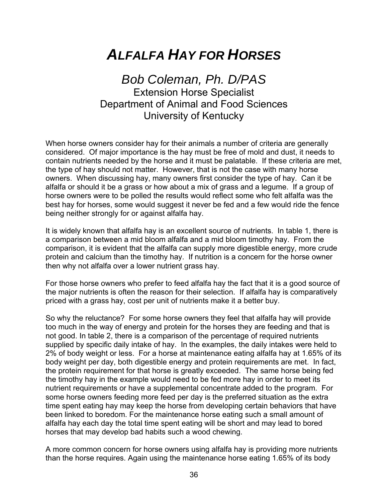## *ALFALFA HAY FOR HORSES*

## *Bob Coleman, Ph. D/PAS*  Extension Horse Specialist Department of Animal and Food Sciences University of Kentucky

When horse owners consider hay for their animals a number of criteria are generally considered. Of major importance is the hay must be free of mold and dust, it needs to contain nutrients needed by the horse and it must be palatable. If these criteria are met, the type of hay should not matter. However, that is not the case with many horse owners. When discussing hay, many owners first consider the type of hay. Can it be alfalfa or should it be a grass or how about a mix of grass and a legume. If a group of horse owners were to be polled the results would reflect some who felt alfalfa was the best hay for horses, some would suggest it never be fed and a few would ride the fence being neither strongly for or against alfalfa hay.

It is widely known that alfalfa hay is an excellent source of nutrients. In table 1, there is a comparison between a mid bloom alfalfa and a mid bloom timothy hay. From the comparison, it is evident that the alfalfa can supply more digestible energy, more crude protein and calcium than the timothy hay. If nutrition is a concern for the horse owner then why not alfalfa over a lower nutrient grass hay.

For those horse owners who prefer to feed alfalfa hay the fact that it is a good source of the major nutrients is often the reason for their selection. If alfalfa hay is comparatively priced with a grass hay, cost per unit of nutrients make it a better buy.

So why the reluctance? For some horse owners they feel that alfalfa hay will provide too much in the way of energy and protein for the horses they are feeding and that is not good. In table 2, there is a comparison of the percentage of required nutrients supplied by specific daily intake of hay. In the examples, the daily intakes were held to 2% of body weight or less. For a horse at maintenance eating alfalfa hay at 1.65% of its body weight per day, both digestible energy and protein requirements are met. In fact, the protein requirement for that horse is greatly exceeded. The same horse being fed the timothy hay in the example would need to be fed more hay in order to meet its nutrient requirements or have a supplemental concentrate added to the program. For some horse owners feeding more feed per day is the preferred situation as the extra time spent eating hay may keep the horse from developing certain behaviors that have been linked to boredom. For the maintenance horse eating such a small amount of alfalfa hay each day the total time spent eating will be short and may lead to bored horses that may develop bad habits such a wood chewing.

A more common concern for horse owners using alfalfa hay is providing more nutrients than the horse requires. Again using the maintenance horse eating 1.65% of its body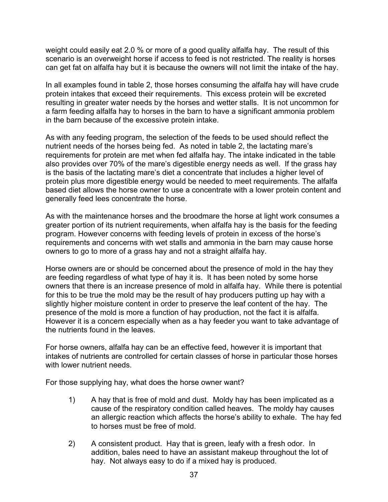weight could easily eat 2.0 % or more of a good quality alfalfa hay. The result of this scenario is an overweight horse if access to feed is not restricted. The reality is horses can get fat on alfalfa hay but it is because the owners will not limit the intake of the hay.

In all examples found in table 2, those horses consuming the alfalfa hay will have crude protein intakes that exceed their requirements. This excess protein will be excreted resulting in greater water needs by the horses and wetter stalls. It is not uncommon for a farm feeding alfalfa hay to horses in the barn to have a significant ammonia problem in the barn because of the excessive protein intake.

As with any feeding program, the selection of the feeds to be used should reflect the nutrient needs of the horses being fed. As noted in table 2, the lactating mare's requirements for protein are met when fed alfalfa hay. The intake indicated in the table also provides over 70% of the mare's digestible energy needs as well. If the grass hay is the basis of the lactating mare's diet a concentrate that includes a higher level of protein plus more digestible energy would be needed to meet requirements. The alfalfa based diet allows the horse owner to use a concentrate with a lower protein content and generally feed lees concentrate the horse.

As with the maintenance horses and the broodmare the horse at light work consumes a greater portion of its nutrient requirements, when alfalfa hay is the basis for the feeding program. However concerns with feeding levels of protein in excess of the horse's requirements and concerns with wet stalls and ammonia in the barn may cause horse owners to go to more of a grass hay and not a straight alfalfa hay.

Horse owners are or should be concerned about the presence of mold in the hay they are feeding regardless of what type of hay it is. It has been noted by some horse owners that there is an increase presence of mold in alfalfa hay. While there is potential for this to be true the mold may be the result of hay producers putting up hay with a slightly higher moisture content in order to preserve the leaf content of the hay. The presence of the mold is more a function of hay production, not the fact it is alfalfa. However it is a concern especially when as a hay feeder you want to take advantage of the nutrients found in the leaves.

For horse owners, alfalfa hay can be an effective feed, however it is important that intakes of nutrients are controlled for certain classes of horse in particular those horses with lower nutrient needs.

For those supplying hay, what does the horse owner want?

- 1) A hay that is free of mold and dust. Moldy hay has been implicated as a cause of the respiratory condition called heaves. The moldy hay causes an allergic reaction which affects the horse's ability to exhale. The hay fed to horses must be free of mold.
- 2) A consistent product. Hay that is green, leafy with a fresh odor. In addition, bales need to have an assistant makeup throughout the lot of hay. Not always easy to do if a mixed hay is produced.